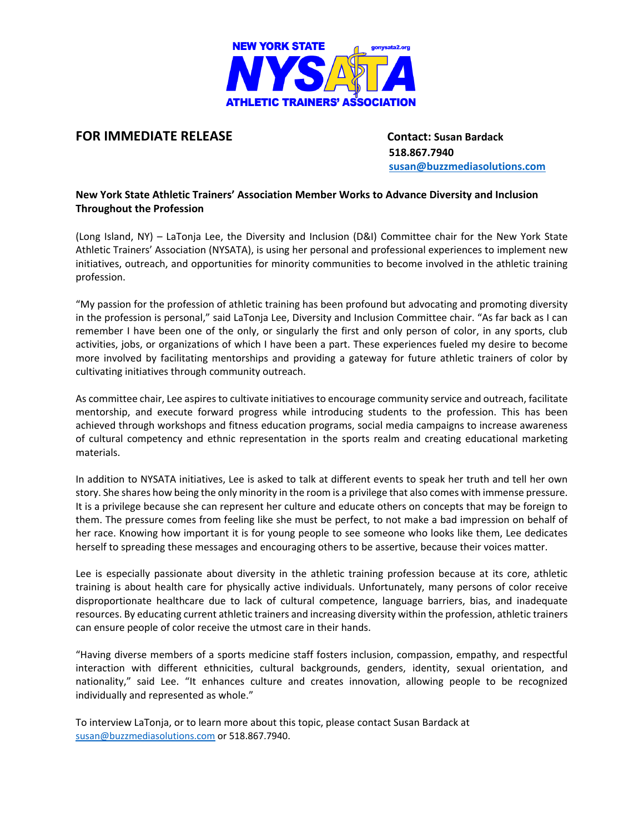

## **FOR IMMEDIATE RELEASE Contact: Susan Bardack**

 **518.867.7940 [susan@buzzmediasolutions.com](mailto:susan@buzzmediasolutions.com)**

## **New York State Athletic Trainers' Association Member Works to Advance Diversity and Inclusion Throughout the Profession**

(Long Island, NY) – LaTonja Lee, the Diversity and Inclusion (D&I) Committee chair for the New York State Athletic Trainers' Association (NYSATA), is using her personal and professional experiences to implement new initiatives, outreach, and opportunities for minority communities to become involved in the athletic training profession.

"My passion for the profession of athletic training has been profound but advocating and promoting diversity in the profession is personal," said LaTonja Lee, Diversity and Inclusion Committee chair. "As far back as I can remember I have been one of the only, or singularly the first and only person of color, in any sports, club activities, jobs, or organizations of which I have been a part. These experiences fueled my desire to become more involved by facilitating mentorships and providing a gateway for future athletic trainers of color by cultivating initiatives through community outreach.

As committee chair, Lee aspires to cultivate initiatives to encourage community service and outreach, facilitate mentorship, and execute forward progress while introducing students to the profession. This has been achieved through workshops and fitness education programs, social media campaigns to increase awareness of cultural competency and ethnic representation in the sports realm and creating educational marketing materials.

In addition to NYSATA initiatives, Lee is asked to talk at different events to speak her truth and tell her own story. She shares how being the only minority in the room is a privilege that also comes with immense pressure. It is a privilege because she can represent her culture and educate others on concepts that may be foreign to them. The pressure comes from feeling like she must be perfect, to not make a bad impression on behalf of her race. Knowing how important it is for young people to see someone who looks like them, Lee dedicates herself to spreading these messages and encouraging others to be assertive, because their voices matter.

Lee is especially passionate about diversity in the athletic training profession because at its core, athletic training is about health care for physically active individuals. Unfortunately, many persons of color receive disproportionate healthcare due to lack of cultural competence, language barriers, bias, and inadequate resources. By educating current athletic trainers and increasing diversity within the profession, athletic trainers can ensure people of color receive the utmost care in their hands.

"Having diverse members of a sports medicine staff fosters inclusion, compassion, empathy, and respectful interaction with different ethnicities, cultural backgrounds, genders, identity, sexual orientation, and nationality," said Lee. "It enhances culture and creates innovation, allowing people to be recognized individually and represented as whole."

To interview LaTonja, or to learn more about this topic, please contact Susan Bardack at [susan@buzzmediasolutions.com](mailto:susan@buzzmediasolutions.com) or 518.867.7940.